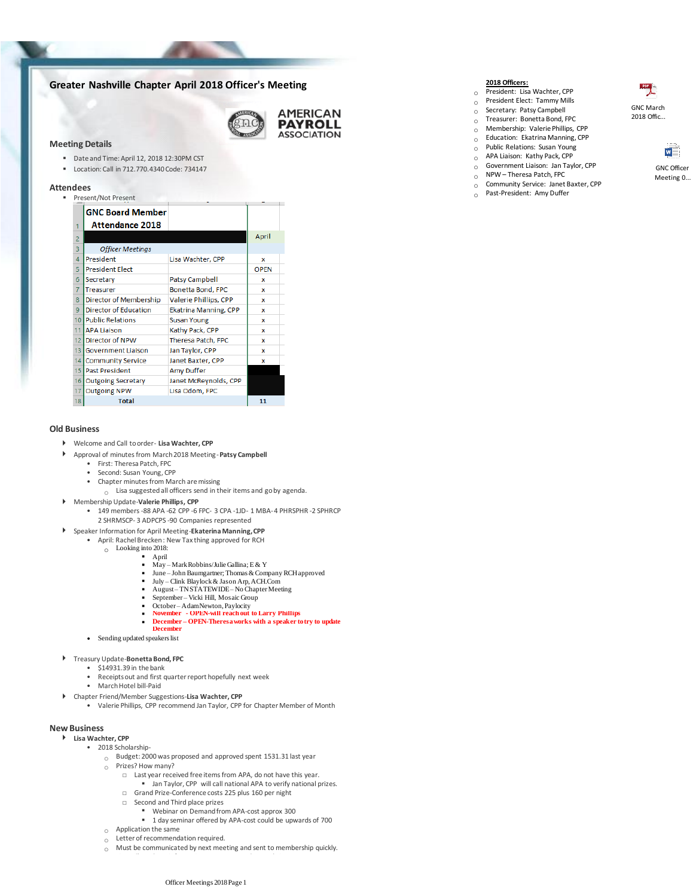# **Greater Nashville Chapter April 2018 Officer's Meeting**

**AMERICAN PAYROLL ASSOCIATION** 

### **Meeting Details**

- Date and Time: April 12, 2018 12:30PM CST
- Location: Call in 712.770.4340 Code: 734147

#### **Attendees**

| Present/Not Present |                              |                              |             |
|---------------------|------------------------------|------------------------------|-------------|
|                     | <b>GNC Board Member</b>      |                              |             |
|                     | Attendance 2018              |                              |             |
| $\overline{2}$      |                              |                              | April       |
| 3                   | <b>Officer Meetings</b>      |                              |             |
| $\overline{A}$      | President                    | Lisa Wachter, CPP            | x           |
| 5                   | <b>President Elect</b>       |                              | <b>OPEN</b> |
| 6                   | Secretary                    | <b>Patsy Campbell</b>        | x           |
| $\overline{7}$      | <b>Treasurer</b>             | Bonetta Bond, FPC            | x           |
| 8                   | Director of Membership       | Valerie Phillips, CPP        | x           |
| 9                   | <b>Director of Education</b> | <b>Ekatrina Manning, CPP</b> | x           |
| 10 <sup>1</sup>     | <b>Public Relations</b>      | <b>Susan Young</b>           | x           |
| 11                  | <b>JAPA Liaison</b>          | Kathy Pack, CPP              | x           |
| 12 <sub>1</sub>     | Director of NPW              | Theresa Patch, FPC           | x           |
| 13 <sup>1</sup>     | <b>Government Liaison</b>    | Jan Taylor, CPP              | x           |
| 14 <sup>1</sup>     | <b>Community Service</b>     | Janet Baxter, CPP            | x           |
|                     | 15 Past President            | <b>Amy Duffer</b>            |             |
| 16 I                | <b>Outgoing Secretary</b>    | Janet McReynolds, CPP        |             |
| 17                  | <b>Outgoing NPW</b>          | Lisa Odom, FPC               |             |
| 18                  | <b>Total</b>                 |                              | 11          |

#### **Old Business**

- Welcome and Call to order- **Lisa Wachter, CPP**
- Approval of minutes from March 2018 Meeting-**Patsy Campbell**
	- First: Theresa Patch, FPC
	- Second: Susan Young, CPP
	- Chapter minutes from March are missing
		- $\circ$  Lisa suggested all officers send in their items and go by agenda.
- Membership Update-**Valerie Phillips, CPP**
	- 149 members -88 APA -62 CPP -6 FPC- 3 CPA -1JD- 1 MBA- 4 PHRSPHR -2 SPHRCP 2 SHRMSCP- 3 ADPCPS -90 Companies represented
- Speaker Information for April Meeting-**Ekaterina Manning, CPP**
	- April: Rachel Brecken : New Tax thing approved for RCH
		- o Looking into 2018:
			-
			- $\overrightarrow{May}$  Mark Robbins/Julie Gallina; E & Y
			- June John Baumgartner; Thomas & Company RCH approved
			- July Clink Blaylock & Jason Arp, ACH.Com
			- August TN STATEWIDE No Chapter Meeting September – Vicki Hill, Mosaic Group
			-
			- October Adam Newton, Paylocity **November - OPEN-will reach out to Larry Phillips**
				- **December – OPEN-Theresa works with a speaker to try to update**
		- **December** ▪
	- Sending updated speakers list

#### Treasury Update-**Bonetta Bond, FPC**

- \$14931.39 in the bank
	- Receipts out and first quarter report hopefully next week
	- March Hotel bill-Paid
- Chapter Friend/Member Suggestions-**Lisa Wachter, CPP**
	- Valerie Phillips, CPP recommend Jan Taylor, CPP for Chapter Member of Month

#### **New Business**

- **Lisa Wachter, CPP**
	- 2018 Scholarship-
		- $\circ$  Budget: 2000 was proposed and approved spent 1531.31 last year
		- o Prizes? How many?
			- □ Last year received free items from APA, do not have this year.
			- Jan Taylor, CPP will call national APA to verify national prizes.
			- □ Grand Prize-Conference costs 225 plus 160 per night
			- □ Second and Third place prizes
				- Webinar on Demand from APA-cost approx 300
				- 1 day seminar offered by APA-cost could be upwards of 700
		- o Application the same
		- o Letter of recommendation required.
		- $\circ$  Must be communicated by next meeting and sent to membership quickly.

## **2018 Officers:**

- o President: Lisa Wachter, CPP
- o President Elect: Tammy Mills o Secretary: Patsy Campbell
- o Treasurer: Bonetta Bond, FPC
- o Membership: Valerie Phillips, CPP
- $\overline{O}$  Education: Ekatrina Manning, CPP
- o Public Relations: Susan Young
- o APA Liaison: Kathy Pack, CPP
- $_{\odot}$  Government Liaison: Jan Taylor, CPP<br>  $_{\odot}$  NPW Theresa Patch, FPC
- NPW Theresa Patch, FPC
- $\circ$  Community Service: Janet Baxter, CPP<br>  $\circ$  Past-President: Amy Duffer Past-President: Amy Duffer



2018 Offic...

GNC Officer Meeting 0...

M

# **April**